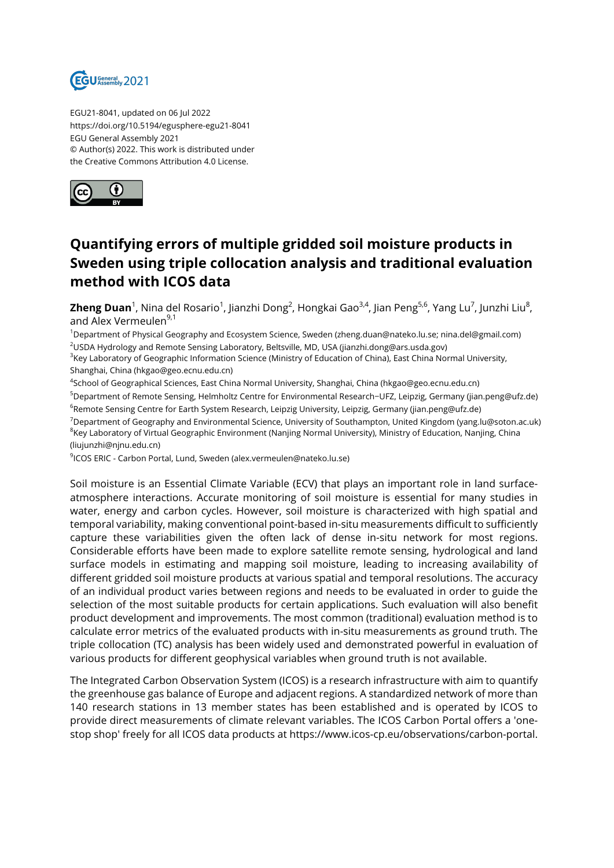

EGU21-8041, updated on 06 Jul 2022 https://doi.org/10.5194/egusphere-egu21-8041 EGU General Assembly 2021 © Author(s) 2022. This work is distributed under the Creative Commons Attribution 4.0 License.



## **Quantifying errors of multiple gridded soil moisture products in Sweden using triple collocation analysis and traditional evaluation method with ICOS data**

**Zheng Duan**<sup>1</sup>, Nina del Rosario<sup>1</sup>, Jianzhi Dong<sup>2</sup>, Hongkai Gao<sup>3,4</sup>, Jian Peng<sup>5,6</sup>, Yang Lu<sup>7</sup>, Junzhi Liu<sup>8</sup>, and Alex Vermeulen<sup>9,1</sup>

<sup>1</sup>Department of Physical Geography and Ecosystem Science, Sweden (zheng.duan@nateko.lu.se; nina.del@gmail.com) <sup>2</sup>USDA Hydrology and Remote Sensing Laboratory, Beltsville, MD, USA (jianzhi.dong@ars.usda.gov)

<sup>3</sup>Key Laboratory of Geographic Information Science (Ministry of Education of China), East China Normal University, Shanghai, China (hkgao@geo.ecnu.edu.cn)

4 School of Geographical Sciences, East China Normal University, Shanghai, China (hkgao@geo.ecnu.edu.cn) <sup>5</sup>Department of Remote Sensing, Helmholtz Centre for Environmental Research−UFZ, Leipzig, Germany (jian.peng@ufz.de)

<sup>6</sup>Remote Sensing Centre for Earth System Research, Leipzig University, Leipzig, Germany (jian.peng@ufz.de) <sup>7</sup>Department of Geography and Environmental Science, University of Southampton, United Kingdom (yang.lu@soton.ac.uk)  $^8$ Key Laboratory of Virtual Geographic Environment (Nanjing Normal University), Ministry of Education, Nanjing, China (liujunzhi@njnu.edu.cn)

9 ICOS ERIC - Carbon Portal, Lund, Sweden (alex.vermeulen@nateko.lu.se)

Soil moisture is an Essential Climate Variable (ECV) that plays an important role in land surfaceatmosphere interactions. Accurate monitoring of soil moisture is essential for many studies in water, energy and carbon cycles. However, soil moisture is characterized with high spatial and temporal variability, making conventional point-based in-situ measurements difficult to sufficiently capture these variabilities given the often lack of dense in-situ network for most regions. Considerable efforts have been made to explore satellite remote sensing, hydrological and land surface models in estimating and mapping soil moisture, leading to increasing availability of different gridded soil moisture products at various spatial and temporal resolutions. The accuracy of an individual product varies between regions and needs to be evaluated in order to guide the selection of the most suitable products for certain applications. Such evaluation will also benefit product development and improvements. The most common (traditional) evaluation method is to calculate error metrics of the evaluated products with in-situ measurements as ground truth. The triple collocation (TC) analysis has been widely used and demonstrated powerful in evaluation of various products for different geophysical variables when ground truth is not available.

The Integrated Carbon Observation System (ICOS) is a research infrastructure with aim to quantify the greenhouse gas balance of Europe and adjacent regions. A standardized network of more than 140 research stations in 13 member states has been established and is operated by ICOS to provide direct measurements of climate relevant variables. The ICOS Carbon Portal offers a 'onestop shop' freely for all ICOS data products at https://www.icos-cp.eu/observations/carbon-portal.